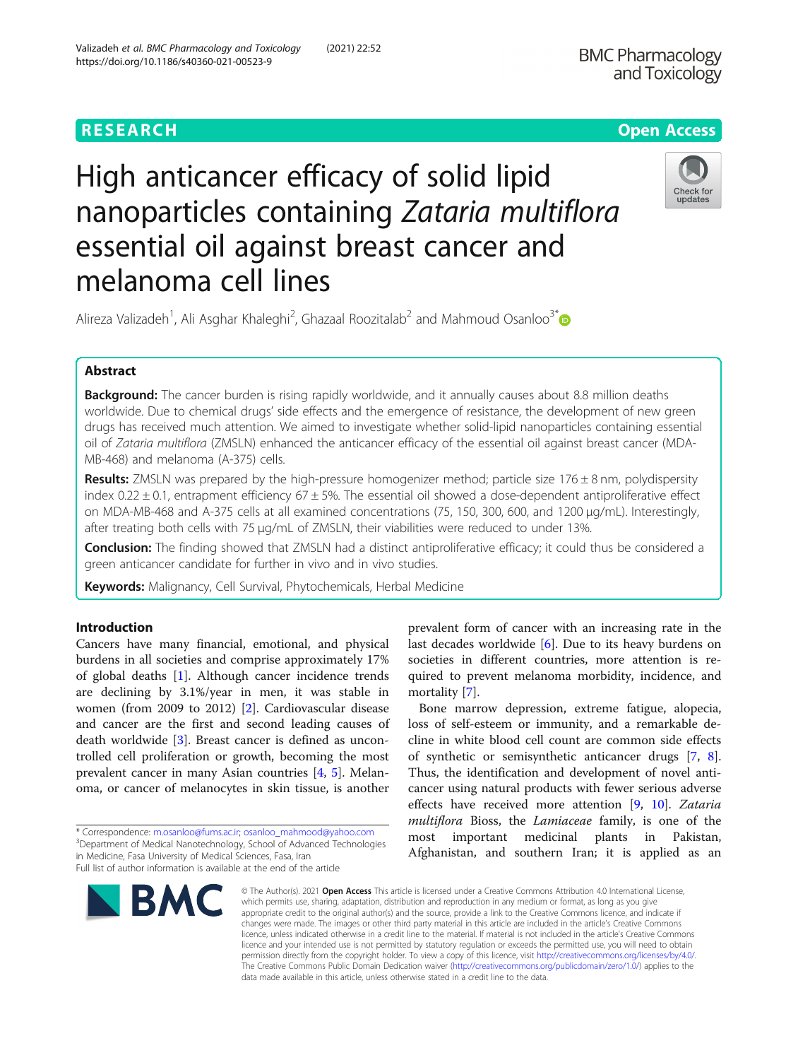# High anticancer efficacy of solid lipid nanoparticles containing Zataria multiflora essential oil against breast cancer and melanoma cell lines



Alireza Valizadeh<sup>1</sup>, Ali Asghar Khaleghi<sup>2</sup>, Ghazaal Roozitalab<sup>2</sup> and Mahmoud Osanloo<sup>3[\\*](https://orcid.org/0000-0002-1190-6874)</sup>

# Abstract

**Background:** The cancer burden is rising rapidly worldwide, and it annually causes about 8.8 million deaths worldwide. Due to chemical drugs' side effects and the emergence of resistance, the development of new green drugs has received much attention. We aimed to investigate whether solid-lipid nanoparticles containing essential oil of Zataria multiflora (ZMSLN) enhanced the anticancer efficacy of the essential oil against breast cancer (MDA-MB-468) and melanoma (A-375) cells.

**Results:** ZMSLN was prepared by the high-pressure homogenizer method; particle size 176  $\pm$  8 nm, polydispersity index  $0.22 \pm 0.1$ , entrapment efficiency 67 $\pm$  5%. The essential oil showed a dose-dependent antiproliferative effect on MDA-MB-468 and A-375 cells at all examined concentrations (75, 150, 300, 600, and 1200 μg/mL). Interestingly, after treating both cells with 75 μg/mL of ZMSLN, their viabilities were reduced to under 13%.

Conclusion: The finding showed that ZMSLN had a distinct antiproliferative efficacy; it could thus be considered a green anticancer candidate for further in vivo and in vivo studies.

Keywords: Malignancy, Cell Survival, Phytochemicals, Herbal Medicine

## Introduction

Cancers have many financial, emotional, and physical burdens in all societies and comprise approximately 17% of global deaths [\[1](#page-5-0)]. Although cancer incidence trends are declining by 3.1%/year in men, it was stable in women (from 2009 to 2012) [\[2](#page-5-0)]. Cardiovascular disease and cancer are the first and second leading causes of death worldwide [\[3](#page-5-0)]. Breast cancer is defined as uncontrolled cell proliferation or growth, becoming the most prevalent cancer in many Asian countries [[4,](#page-5-0) [5](#page-5-0)]. Melanoma, or cancer of melanocytes in skin tissue, is another

\* Correspondence: [m.osanloo@fums.ac.ir](mailto:m.osanloo@fums.ac.ir); [osanloo\\_mahmood@yahoo.com](mailto:osanloo_mahmood@yahoo.com) <sup>3</sup> <sup>3</sup>Department of Medical Nanotechnology, School of Advanced Technologies in Medicine, Fasa University of Medical Sciences, Fasa, Iran Full list of author information is available at the end of the article



prevalent form of cancer with an increasing rate in the last decades worldwide [\[6](#page-5-0)]. Due to its heavy burdens on societies in different countries, more attention is required to prevent melanoma morbidity, incidence, and mortality [\[7\]](#page-5-0).

Bone marrow depression, extreme fatigue, alopecia, loss of self-esteem or immunity, and a remarkable decline in white blood cell count are common side effects of synthetic or semisynthetic anticancer drugs [[7,](#page-5-0) [8](#page-5-0)]. Thus, the identification and development of novel anticancer using natural products with fewer serious adverse effects have received more attention [\[9](#page-5-0), [10](#page-5-0)]. Zataria multiflora Bioss, the Lamiaceae family, is one of the most important medicinal plants in Pakistan, Afghanistan, and southern Iran; it is applied as an

© The Author(s), 2021 **Open Access** This article is licensed under a Creative Commons Attribution 4.0 International License, which permits use, sharing, adaptation, distribution and reproduction in any medium or format, as long as you give appropriate credit to the original author(s) and the source, provide a link to the Creative Commons licence, and indicate if changes were made. The images or other third party material in this article are included in the article's Creative Commons licence, unless indicated otherwise in a credit line to the material. If material is not included in the article's Creative Commons licence and your intended use is not permitted by statutory regulation or exceeds the permitted use, you will need to obtain permission directly from the copyright holder. To view a copy of this licence, visit [http://creativecommons.org/licenses/by/4.0/.](http://creativecommons.org/licenses/by/4.0/) The Creative Commons Public Domain Dedication waiver [\(http://creativecommons.org/publicdomain/zero/1.0/](http://creativecommons.org/publicdomain/zero/1.0/)) applies to the data made available in this article, unless otherwise stated in a credit line to the data.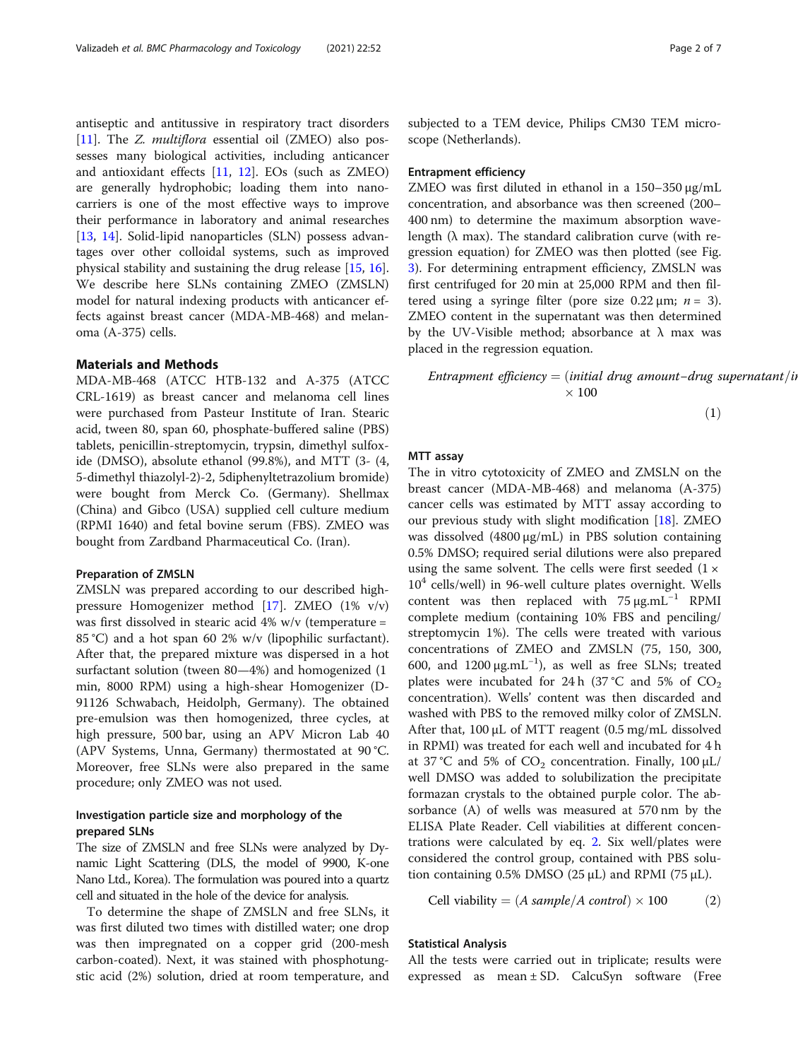antiseptic and antitussive in respiratory tract disorders [[11\]](#page-5-0). The *Z. multiflora* essential oil (ZMEO) also possesses many biological activities, including anticancer and antioxidant effects  $[11, 12]$  $[11, 12]$  $[11, 12]$ . EOs (such as ZMEO) are generally hydrophobic; loading them into nanocarriers is one of the most effective ways to improve their performance in laboratory and animal researches [[13,](#page-5-0) [14\]](#page-5-0). Solid-lipid nanoparticles (SLN) possess advantages over other colloidal systems, such as improved physical stability and sustaining the drug release [[15](#page-5-0), [16](#page-5-0)]. We describe here SLNs containing ZMEO (ZMSLN) model for natural indexing products with anticancer effects against breast cancer (MDA-MB-468) and melanoma (A-375) cells.

#### Materials and Methods

MDA-MB-468 (ATCC HTB-132 and A-375 (ATCC CRL-1619) as breast cancer and melanoma cell lines were purchased from Pasteur Institute of Iran. Stearic acid, tween 80, span 60, phosphate-buffered saline (PBS) tablets, penicillin-streptomycin, trypsin, dimethyl sulfoxide (DMSO), absolute ethanol (99.8%), and MTT (3- (4, 5-dimethyl thiazolyl-2)-2, 5diphenyltetrazolium bromide) were bought from Merck Co. (Germany). Shellmax (China) and Gibco (USA) supplied cell culture medium (RPMI 1640) and fetal bovine serum (FBS). ZMEO was bought from Zardband Pharmaceutical Co. (Iran).

#### Preparation of ZMSLN

ZMSLN was prepared according to our described highpressure Homogenizer method [[17](#page-5-0)]. ZMEO (1% v/v) was first dissolved in stearic acid 4% w/v (temperature = 85 °C) and a hot span 60 2% w/v (lipophilic surfactant). After that, the prepared mixture was dispersed in a hot surfactant solution (tween 80—4%) and homogenized (1 min, 8000 RPM) using a high-shear Homogenizer (D-91126 Schwabach, Heidolph, Germany). The obtained pre-emulsion was then homogenized, three cycles, at high pressure, 500 bar, using an APV Micron Lab 40 (APV Systems, Unna, Germany) thermostated at 90 °C. Moreover, free SLNs were also prepared in the same procedure; only ZMEO was not used.

## Investigation particle size and morphology of the prepared SLNs

The size of ZMSLN and free SLNs were analyzed by Dynamic Light Scattering (DLS, the model of 9900, K-one Nano Ltd., Korea). The formulation was poured into a quartz cell and situated in the hole of the device for analysis.

To determine the shape of ZMSLN and free SLNs, it was first diluted two times with distilled water; one drop was then impregnated on a copper grid (200-mesh carbon-coated). Next, it was stained with phosphotungstic acid (2%) solution, dried at room temperature, and subjected to a TEM device, Philips CM30 TEM microscope (Netherlands).

#### Entrapment efficiency

ZMEO was first diluted in ethanol in a 150–350 μg/mL concentration, and absorbance was then screened (200– 400 nm) to determine the maximum absorption wavelength ( $\lambda$  max). The standard calibration curve (with regression equation) for ZMEO was then plotted (see Fig. [3\)](#page-3-0). For determining entrapment efficiency, ZMSLN was first centrifuged for 20 min at 25,000 RPM and then filtered using a syringe filter (pore size  $0.22 \mu m$ ;  $n = 3$ ). ZMEO content in the supernatant was then determined by the UV-Visible method; absorbance at  $\lambda$  max was placed in the regression equation.

Entrapment efficiency = (initial drug amount-drug supernatant/in  $\times$  100

 $(1)$ 

#### MTT assay

The in vitro cytotoxicity of ZMEO and ZMSLN on the breast cancer (MDA-MB-468) and melanoma (A-375) cancer cells was estimated by MTT assay according to our previous study with slight modification [\[18](#page-5-0)]. ZMEO was dissolved (4800 μg/mL) in PBS solution containing 0.5% DMSO; required serial dilutions were also prepared using the same solvent. The cells were first seeded  $(1 \times$  $10<sup>4</sup>$  cells/well) in 96-well culture plates overnight. Wells content was then replaced with  $75 \mu g.mL^{-1}$  RPMI complete medium (containing 10% FBS and penciling/ streptomycin 1%). The cells were treated with various concentrations of ZMEO and ZMSLN (75, 150, 300, 600, and  $1200 \mu g.mL^{-1}$ ), as well as free SLNs; treated plates were incubated for 24 h  $(37^{\circ}C \text{ and } 5\% \text{ of } CO_{2}$ concentration). Wells' content was then discarded and washed with PBS to the removed milky color of ZMSLN. After that, 100 μL of MTT reagent (0.5 mg/mL dissolved in RPMI) was treated for each well and incubated for 4 h at 37 °C and 5% of  $CO_2$  concentration. Finally, 100  $\mu$ L/ well DMSO was added to solubilization the precipitate formazan crystals to the obtained purple color. The absorbance (A) of wells was measured at 570 nm by the ELISA Plate Reader. Cell viabilities at different concentrations were calculated by eq. 2. Six well/plates were considered the control group, contained with PBS solution containing  $0.5\%$  DMSO ( $25 \mu L$ ) and RPMI ( $75 \mu L$ ).

Cell viability =  $(A \, sample/A \, control) \times 100$  (2)

## Statistical Analysis

All the tests were carried out in triplicate; results were expressed as mean ± SD. CalcuSyn software (Free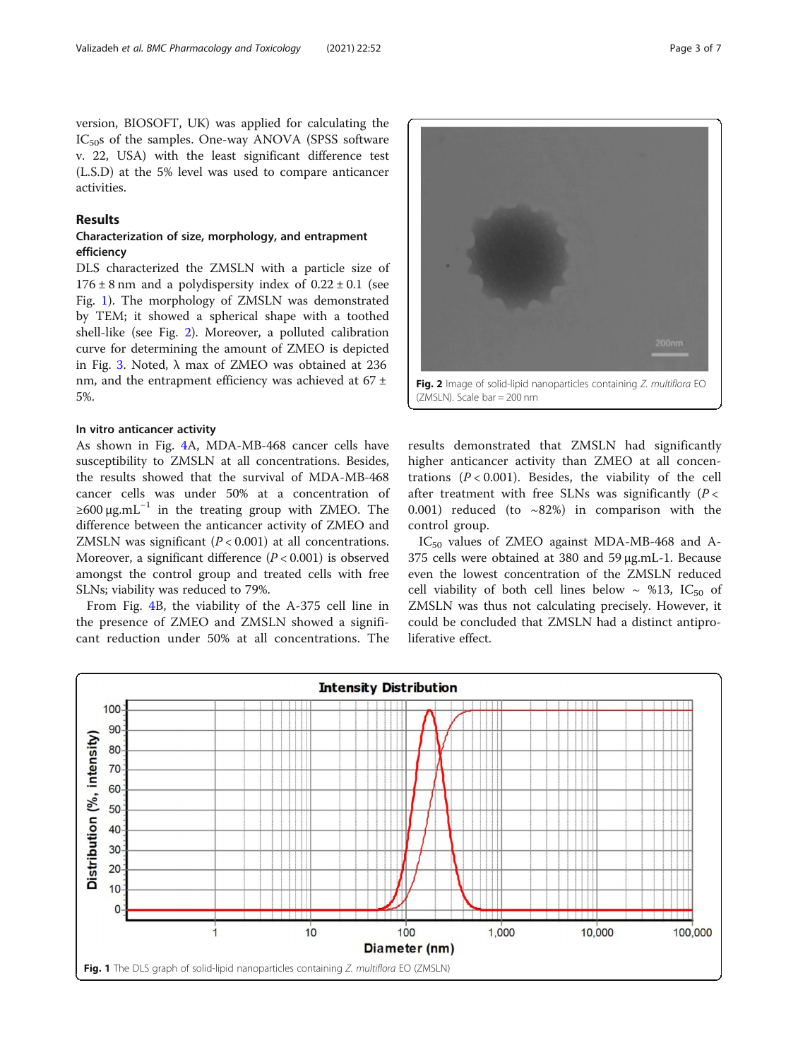version, BIOSOFT, UK) was applied for calculating the  $IC_{50}$ s of the samples. One-way ANOVA (SPSS software v. 22, USA) with the least significant difference test (L.S.D) at the 5% level was used to compare anticancer activities.

## Results

## Characterization of size, morphology, and entrapment efficiency

DLS characterized the ZMSLN with a particle size of  $176 \pm 8$  nm and a polydispersity index of  $0.22 \pm 0.1$  (see Fig. 1). The morphology of ZMSLN was demonstrated by TEM; it showed a spherical shape with a toothed shell-like (see Fig. 2). Moreover, a polluted calibration curve for determining the amount of ZMEO is depicted in Fig. [3](#page-3-0). Noted, λ max of ZMEO was obtained at 236 nm, and the entrapment efficiency was achieved at 67 ± 5%.

## In vitro anticancer activity

As shown in Fig. [4A](#page-3-0), MDA-MB-468 cancer cells have susceptibility to ZMSLN at all concentrations. Besides, the results showed that the survival of MDA-MB-468 cancer cells was under 50% at a concentration of  $≥600 \mu g.mL^{-1}$  in the treating group with ZMEO. The difference between the anticancer activity of ZMEO and ZMSLN was significant  $(P < 0.001)$  at all concentrations. Moreover, a significant difference  $(P < 0.001)$  is observed amongst the control group and treated cells with free SLNs; viability was reduced to 79%.

From Fig. [4B](#page-3-0), the viability of the A-375 cell line in the presence of ZMEO and ZMSLN showed a significant reduction under 50% at all concentrations. The Fig. 2 Image of solid-lipid nanoparticles containing Z. multiflora EO (ZMSLN). Scale bar = 200 nm

results demonstrated that ZMSLN had significantly higher anticancer activity than ZMEO at all concentrations  $(P < 0.001)$ . Besides, the viability of the cell after treatment with free SLNs was significantly  $(P <$ 0.001) reduced (to  $\sim$ 82%) in comparison with the control group.

IC<sub>50</sub> values of ZMEO against MDA-MB-468 and A-375 cells were obtained at 380 and 59 μg.mL-1. Because even the lowest concentration of the ZMSLN reduced cell viability of both cell lines below  $\sim$  %13, IC<sub>50</sub> of ZMSLN was thus not calculating precisely. However, it could be concluded that ZMSLN had a distinct antiproliferative effect.

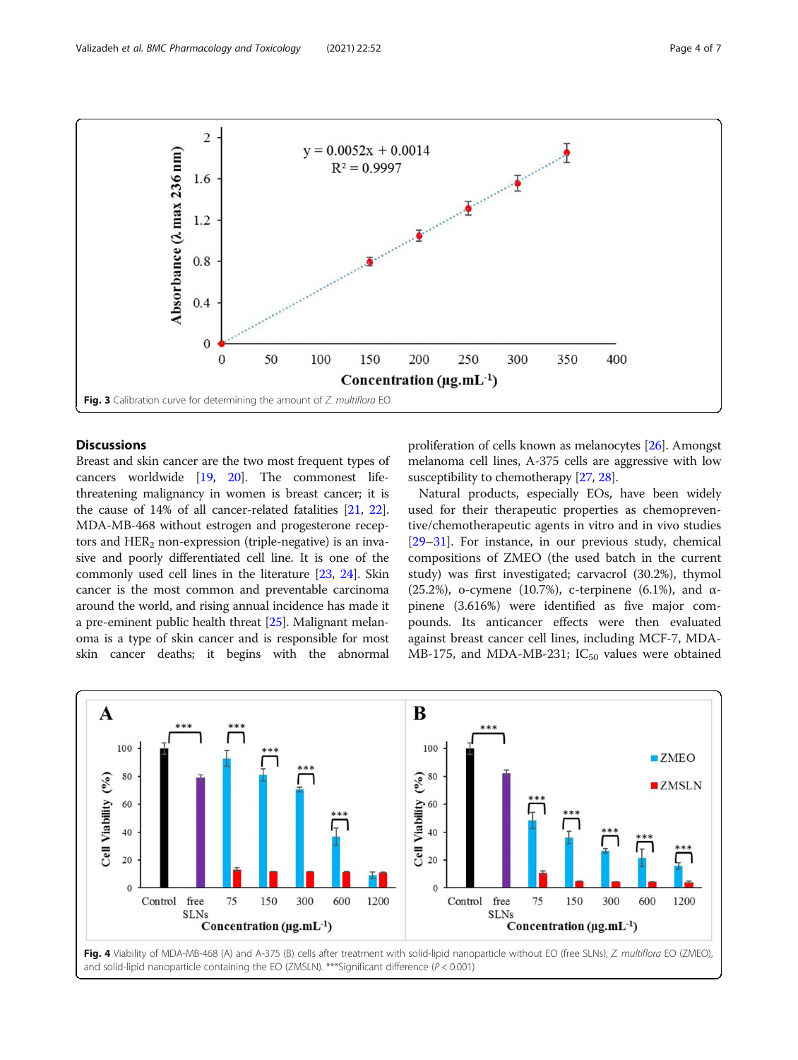<span id="page-3-0"></span>

## **Discussions**

Breast and skin cancer are the two most frequent types of cancers worldwide [\[19,](#page-5-0) [20\]](#page-5-0). The commonest lifethreatening malignancy in women is breast cancer; it is the cause of 14% of all cancer-related fatalities [[21](#page-5-0), [22](#page-5-0)]. MDA-MB-468 without estrogen and progesterone receptors and  $HER<sub>2</sub>$  non-expression (triple-negative) is an invasive and poorly differentiated cell line. It is one of the commonly used cell lines in the literature [\[23,](#page-5-0) [24\]](#page-5-0). Skin cancer is the most common and preventable carcinoma around the world, and rising annual incidence has made it a pre-eminent public health threat [\[25\]](#page-5-0). Malignant melanoma is a type of skin cancer and is responsible for most skin cancer deaths; it begins with the abnormal

proliferation of cells known as melanocytes [\[26\]](#page-5-0). Amongst melanoma cell lines, A-375 cells are aggressive with low susceptibility to chemotherapy [\[27](#page-5-0), [28](#page-5-0)].

Natural products, especially EOs, have been widely used for their therapeutic properties as chemopreventive/chemotherapeutic agents in vitro and in vivo studies [[29](#page-5-0)–[31](#page-5-0)]. For instance, in our previous study, chemical compositions of ZMEO (the used batch in the current study) was first investigated; carvacrol (30.2%), thymol (25.2%), o-cymene (10.7%), c-terpinene (6.1%), and  $α$ pinene (3.616%) were identified as five major compounds. Its anticancer effects were then evaluated against breast cancer cell lines, including MCF-7, MDA-MB-175, and MDA-MB-231;  $IC_{50}$  values were obtained

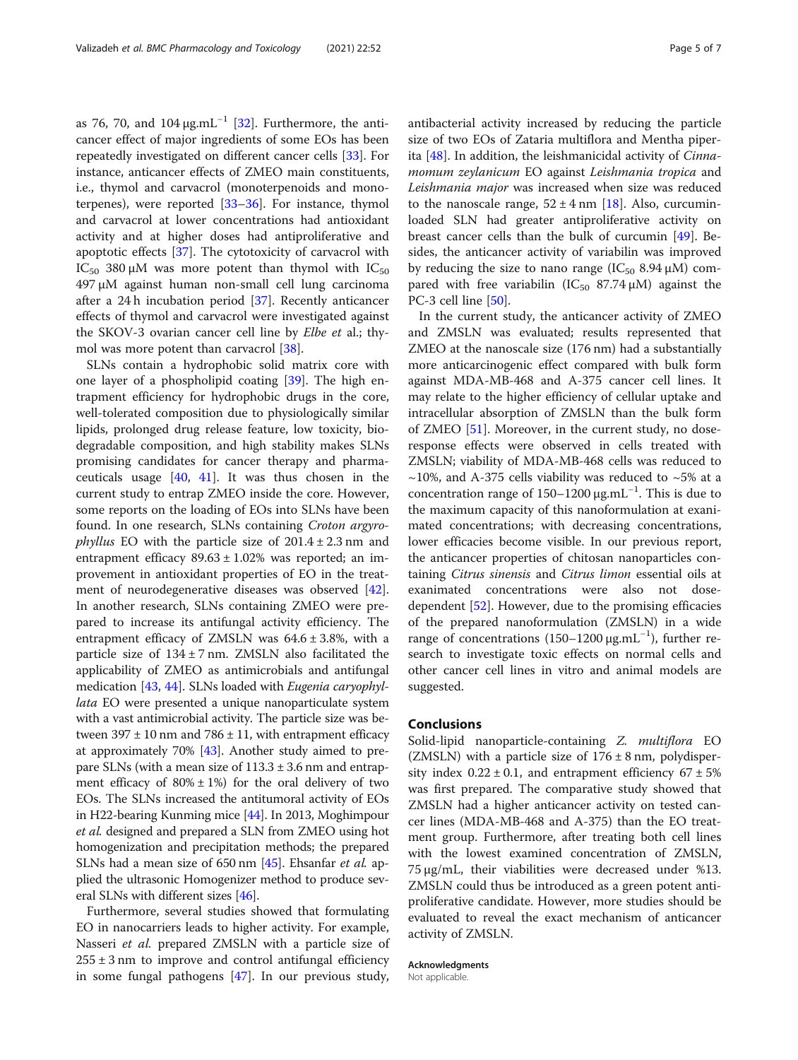as 76, 70, and  $104 \mu g.mL^{-1}$  [\[32](#page-5-0)]. Furthermore, the anticancer effect of major ingredients of some EOs has been repeatedly investigated on different cancer cells [\[33](#page-5-0)]. For instance, anticancer effects of ZMEO main constituents, i.e., thymol and carvacrol (monoterpenoids and monoterpenes), were reported [[33](#page-5-0)–[36](#page-6-0)]. For instance, thymol and carvacrol at lower concentrations had antioxidant activity and at higher doses had antiproliferative and apoptotic effects [\[37\]](#page-6-0). The cytotoxicity of carvacrol with IC<sub>50</sub> 380 μM was more potent than thymol with IC<sub>50</sub> 497 μM against human non-small cell lung carcinoma after a 24 h incubation period [\[37\]](#page-6-0). Recently anticancer effects of thymol and carvacrol were investigated against the SKOV-3 ovarian cancer cell line by Elbe et al.; thymol was more potent than carvacrol [[38](#page-6-0)].

SLNs contain a hydrophobic solid matrix core with one layer of a phospholipid coating [\[39\]](#page-6-0). The high entrapment efficiency for hydrophobic drugs in the core, well-tolerated composition due to physiologically similar lipids, prolonged drug release feature, low toxicity, biodegradable composition, and high stability makes SLNs promising candidates for cancer therapy and pharmaceuticals usage  $[40, 41]$  $[40, 41]$  $[40, 41]$  $[40, 41]$ . It was thus chosen in the current study to entrap ZMEO inside the core. However, some reports on the loading of EOs into SLNs have been found. In one research, SLNs containing Croton argyro*phyllus* EO with the particle size of  $201.4 \pm 2.3$  nm and entrapment efficacy  $89.63 \pm 1.02\%$  was reported; an improvement in antioxidant properties of EO in the treatment of neurodegenerative diseases was observed [\[42](#page-6-0)]. In another research, SLNs containing ZMEO were prepared to increase its antifungal activity efficiency. The entrapment efficacy of ZMSLN was  $64.6 \pm 3.8$ %, with a particle size of  $134 \pm 7$  nm. ZMSLN also facilitated the applicability of ZMEO as antimicrobials and antifungal medication [\[43](#page-6-0), [44\]](#page-6-0). SLNs loaded with Eugenia caryophyllata EO were presented a unique nanoparticulate system with a vast antimicrobial activity. The particle size was between  $397 \pm 10$  nm and  $786 \pm 11$ , with entrapment efficacy at approximately 70% [\[43\]](#page-6-0). Another study aimed to prepare SLNs (with a mean size of  $113.3 \pm 3.6$  nm and entrapment efficacy of  $80\% \pm 1\%$  for the oral delivery of two EOs. The SLNs increased the antitumoral activity of EOs in H22-bearing Kunming mice [[44](#page-6-0)]. In 2013, Moghimpour et al. designed and prepared a SLN from ZMEO using hot homogenization and precipitation methods; the prepared SLNs had a mean size of 650 nm [[45](#page-6-0)]. Ehsanfar et al. applied the ultrasonic Homogenizer method to produce several SLNs with different sizes [[46](#page-6-0)].

Furthermore, several studies showed that formulating EO in nanocarriers leads to higher activity. For example, Nasseri et al. prepared ZMSLN with a particle size of  $255 \pm 3$  nm to improve and control antifungal efficiency in some fungal pathogens [\[47\]](#page-6-0). In our previous study, antibacterial activity increased by reducing the particle size of two EOs of Zataria multiflora and Mentha piperita [\[48\]](#page-6-0). In addition, the leishmanicidal activity of Cinnamomum zeylanicum EO against Leishmania tropica and Leishmania major was increased when size was reduced to the nanoscale range,  $52 \pm 4$  nm [\[18](#page-5-0)]. Also, curcuminloaded SLN had greater antiproliferative activity on breast cancer cells than the bulk of curcumin [[49](#page-6-0)]. Besides, the anticancer activity of variabilin was improved by reducing the size to nano range  $(IC_{50} 8.94 \mu M)$  compared with free variabilin (IC<sub>50</sub> 87.74  $\mu$ M) against the PC-3 cell line [\[50](#page-6-0)].

In the current study, the anticancer activity of ZMEO and ZMSLN was evaluated; results represented that ZMEO at the nanoscale size (176 nm) had a substantially more anticarcinogenic effect compared with bulk form against MDA-MB-468 and A-375 cancer cell lines. It may relate to the higher efficiency of cellular uptake and intracellular absorption of ZMSLN than the bulk form of ZMEO [[51\]](#page-6-0). Moreover, in the current study, no doseresponse effects were observed in cells treated with ZMSLN; viability of MDA-MB-468 cells was reduced to  $\sim$ 10%, and A-375 cells viability was reduced to  $\sim$ 5% at a concentration range of 150–1200 μg.mL−<sup>1</sup> . This is due to the maximum capacity of this nanoformulation at exanimated concentrations; with decreasing concentrations, lower efficacies become visible. In our previous report, the anticancer properties of chitosan nanoparticles containing Citrus sinensis and Citrus limon essential oils at exanimated concentrations were also not dosedependent [[52](#page-6-0)]. However, due to the promising efficacies of the prepared nanoformulation (ZMSLN) in a wide range of concentrations (150–1200 μg.mL<sup>-1</sup>), further research to investigate toxic effects on normal cells and other cancer cell lines in vitro and animal models are suggested.

#### Conclusions

Solid-lipid nanoparticle-containing Z. multiflora EO (ZMSLN) with a particle size of  $176 \pm 8$  nm, polydispersity index  $0.22 \pm 0.1$ , and entrapment efficiency  $67 \pm 5\%$ was first prepared. The comparative study showed that ZMSLN had a higher anticancer activity on tested cancer lines (MDA-MB-468 and A-375) than the EO treatment group. Furthermore, after treating both cell lines with the lowest examined concentration of ZMSLN, 75 μg/mL, their viabilities were decreased under %13. ZMSLN could thus be introduced as a green potent antiproliferative candidate. However, more studies should be evaluated to reveal the exact mechanism of anticancer activity of ZMSLN.

Acknowledgments

Not applicable.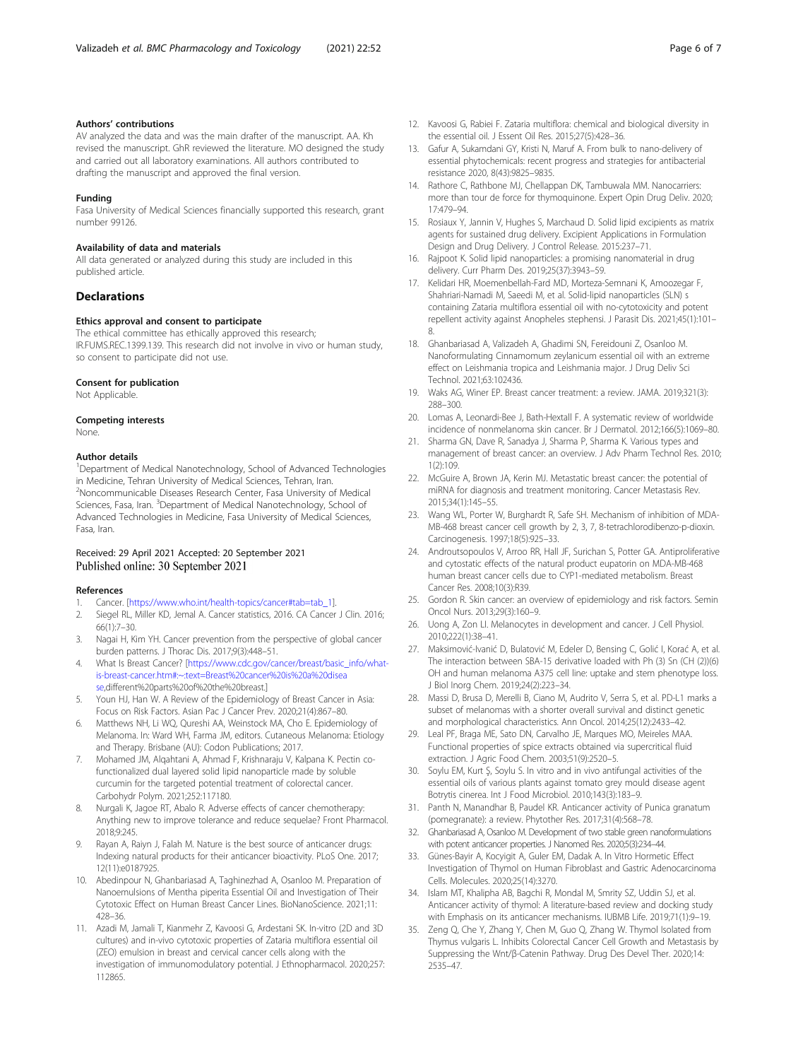#### <span id="page-5-0"></span>Authors' contributions

AV analyzed the data and was the main drafter of the manuscript. AA. Kh revised the manuscript. GhR reviewed the literature. MO designed the study and carried out all laboratory examinations. All authors contributed to drafting the manuscript and approved the final version.

#### Funding

Fasa University of Medical Sciences financially supported this research, grant number 99126.

#### Availability of data and materials

All data generated or analyzed during this study are included in this published article.

#### **Declarations**

#### Ethics approval and consent to participate

The ethical committee has ethically approved this research; IR.FUMS.REC.1399.139. This research did not involve in vivo or human study, so consent to participate did not use.

#### Consent for publication

Not Applicable.

#### Competing interests

## None.

#### Author details

<sup>1</sup>Department of Medical Nanotechnology, School of Advanced Technologies in Medicine, Tehran University of Medical Sciences, Tehran, Iran. <sup>2</sup>Noncommunicable Diseases Research Center, Fasa University of Medical Sciences, Fasa, Iran. <sup>3</sup>Department of Medical Nanotechnology, School of Advanced Technologies in Medicine, Fasa University of Medical Sciences, Fasa, Iran.

## Received: 29 April 2021 Accepted: 20 September 2021 Published online: 30 September 2021

#### References

- 1. Cancer. [\[https://www.who.int/health-topics/cancer#tab=tab\\_1](https://www.who.int/health-topics/cancer#tab=tab_1)].
- 2. Siegel RL, Miller KD, Jemal A. Cancer statistics, 2016. CA Cancer J Clin. 2016; 66(1):7–30.
- 3. Nagai H, Kim YH. Cancer prevention from the perspective of global cancer burden patterns. J Thorac Dis. 2017;9(3):448–51.
- 4. What Is Breast Cancer? [\[https://www.cdc.gov/cancer/breast/basic\\_info/what](https://www.cdc.gov/cancer/breast/basic_info/what-is-breast-cancer.htm#:~:text=Breast%20cancer%20is%20a%20disease)[is-breast-cancer.htm#:~:text=Breast%20cancer%20is%20a%20disea](https://www.cdc.gov/cancer/breast/basic_info/what-is-breast-cancer.htm#:~:text=Breast%20cancer%20is%20a%20disease) [se,](https://www.cdc.gov/cancer/breast/basic_info/what-is-breast-cancer.htm#:~:text=Breast%20cancer%20is%20a%20disease)different%20parts%20of%20the%20breast.]
- Youn HJ, Han W. A Review of the Epidemiology of Breast Cancer in Asia: Focus on Risk Factors. Asian Pac J Cancer Prev. 2020;21(4):867–80.
- 6. Matthews NH, Li WQ, Qureshi AA, Weinstock MA, Cho E. Epidemiology of Melanoma. In: Ward WH, Farma JM, editors. Cutaneous Melanoma: Etiology and Therapy. Brisbane (AU): Codon Publications; 2017.
- 7. Mohamed JM, Alqahtani A, Ahmad F, Krishnaraju V, Kalpana K. Pectin cofunctionalized dual layered solid lipid nanoparticle made by soluble curcumin for the targeted potential treatment of colorectal cancer. Carbohydr Polym. 2021;252:117180.
- 8. Nurgali K, Jagoe RT, Abalo R. Adverse effects of cancer chemotherapy: Anything new to improve tolerance and reduce sequelae? Front Pharmacol. 2018;9:245.
- Rayan A, Raiyn J, Falah M. Nature is the best source of anticancer drugs: Indexing natural products for their anticancer bioactivity. PLoS One. 2017; 12(11):e0187925.
- 10. Abedinpour N, Ghanbariasad A, Taghinezhad A, Osanloo M. Preparation of Nanoemulsions of Mentha piperita Essential Oil and Investigation of Their Cytotoxic Effect on Human Breast Cancer Lines. BioNanoScience. 2021;11: 428–36.
- 11. Azadi M, Jamali T, Kianmehr Z, Kavoosi G, Ardestani SK. In-vitro (2D and 3D cultures) and in-vivo cytotoxic properties of Zataria multiflora essential oil (ZEO) emulsion in breast and cervical cancer cells along with the investigation of immunomodulatory potential. J Ethnopharmacol. 2020;257: 112865.
- 12. Kavoosi G, Rabiei F. Zataria multiflora: chemical and biological diversity in the essential oil. J Essent Oil Res. 2015;27(5):428–36.
- 13. Gafur A, Sukamdani GY, Kristi N, Maruf A. From bulk to nano-delivery of essential phytochemicals: recent progress and strategies for antibacterial resistance 2020, 8(43):9825–9835.
- 14. Rathore C, Rathbone MJ, Chellappan DK, Tambuwala MM. Nanocarriers: more than tour de force for thymoquinone. Expert Opin Drug Deliv. 2020; 17:479–94.
- 15. Rosiaux Y, Jannin V, Hughes S, Marchaud D. Solid lipid excipients as matrix agents for sustained drug delivery. Excipient Applications in Formulation Design and Drug Delivery. J Control Release. 2015:237–71.
- 16. Rajpoot K. Solid lipid nanoparticles: a promising nanomaterial in drug delivery. Curr Pharm Des. 2019;25(37):3943–59.
- 17. Kelidari HR, Moemenbellah-Fard MD, Morteza-Semnani K, Amoozegar F, Shahriari-Namadi M, Saeedi M, et al. Solid-lipid nanoparticles (SLN) s containing Zataria multiflora essential oil with no-cytotoxicity and potent repellent activity against Anopheles stephensi. J Parasit Dis. 2021;45(1):101– 8.
- 18. Ghanbariasad A, Valizadeh A, Ghadimi SN, Fereidouni Z, Osanloo M. Nanoformulating Cinnamomum zeylanicum essential oil with an extreme effect on Leishmania tropica and Leishmania major. J Drug Deliv Sci Technol. 2021;63:102436.
- 19. Waks AG, Winer EP. Breast cancer treatment: a review. JAMA. 2019;321(3): 288–300.
- 20. Lomas A, Leonardi-Bee J, Bath-Hextall F. A systematic review of worldwide incidence of nonmelanoma skin cancer. Br J Dermatol. 2012;166(5):1069–80.
- 21. Sharma GN, Dave R, Sanadya J, Sharma P, Sharma K. Various types and management of breast cancer: an overview. J Adv Pharm Technol Res. 2010; 1(2):109.
- 22. McGuire A, Brown JA, Kerin MJ, Metastatic breast cancer: the potential of miRNA for diagnosis and treatment monitoring. Cancer Metastasis Rev. 2015;34(1):145–55.
- 23. Wang WL, Porter W, Burghardt R, Safe SH. Mechanism of inhibition of MDA-MB-468 breast cancer cell growth by 2, 3, 7, 8-tetrachlorodibenzo-p-dioxin. Carcinogenesis. 1997;18(5):925–33.
- 24. Androutsopoulos V, Arroo RR, Hall JF, Surichan S, Potter GA. Antiproliferative and cytostatic effects of the natural product eupatorin on MDA-MB-468 human breast cancer cells due to CYP1-mediated metabolism. Breast Cancer Res. 2008;10(3):R39.
- 25. Gordon R. Skin cancer: an overview of epidemiology and risk factors. Semin Oncol Nurs. 2013;29(3):160–9.
- 26. Uong A, Zon LI. Melanocytes in development and cancer. J Cell Physiol. 2010;222(1):38–41.
- 27. Maksimović-Ivanić D, Bulatović M, Edeler D, Bensing C, Golić I, Korać A, et al. The interaction between SBA-15 derivative loaded with Ph (3) Sn (CH (2))(6) OH and human melanoma A375 cell line: uptake and stem phenotype loss. J Biol Inorg Chem. 2019;24(2):223–34.
- 28. Massi D, Brusa D, Merelli B, Ciano M, Audrito V, Serra S, et al. PD-L1 marks a subset of melanomas with a shorter overall survival and distinct genetic and morphological characteristics. Ann Oncol. 2014;25(12):2433–42.
- 29. Leal PF, Braga ME, Sato DN, Carvalho JE, Marques MO, Meireles MAA. Functional properties of spice extracts obtained via supercritical fluid extraction. J Agric Food Chem. 2003;51(9):2520–5.
- 30. Soylu EM, Kurt Ş, Soylu S. In vitro and in vivo antifungal activities of the essential oils of various plants against tomato grey mould disease agent Botrytis cinerea. Int J Food Microbiol. 2010;143(3):183–9.
- 31. Panth N, Manandhar B, Paudel KR. Anticancer activity of Punica granatum (pomegranate): a review. Phytother Res. 2017;31(4):568–78.
- 32. Ghanbariasad A, Osanloo M. Development of two stable green nanoformulations with potent anticancer properties. J Nanomed Res. 2020;5(3):234–44.
- 33. Günes-Bayir A, Kocyigit A, Guler EM, Dadak A. In Vitro Hormetic Effect Investigation of Thymol on Human Fibroblast and Gastric Adenocarcinoma Cells. Molecules. 2020;25(14):3270.
- 34. Islam MT, Khalipha AB, Bagchi R, Mondal M, Smrity SZ, Uddin SJ, et al. Anticancer activity of thymol: A literature-based review and docking study with Emphasis on its anticancer mechanisms. IUBMB Life. 2019;71(1):9–19.
- 35. Zeng Q, Che Y, Zhang Y, Chen M, Guo Q, Zhang W. Thymol Isolated from Thymus vulgaris L. Inhibits Colorectal Cancer Cell Growth and Metastasis by Suppressing the Wnt/β-Catenin Pathway. Drug Des Devel Ther. 2020;14: 2535–47.